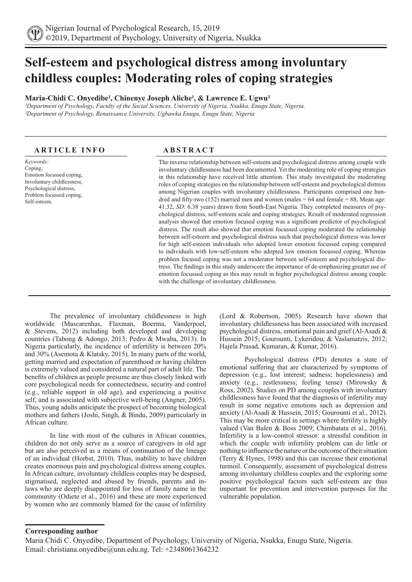# **Self-esteem and psychological distress among involuntary childless couples: Moderating roles of coping strategies**

# **Maria-Chidi C. Onyedibe1 , Chinenye Joseph Aliche1 , & Lawrence E. Ugwu²**

*¹Department of Psychology, Faculty of the Social Sciences, University of Nigeria, Nsukka, Enugu State, Nigeria. ²Department of Psychology, Renaissance University, Ugbawka Enugu, Enugu State, Nigeria*

# **ARTICLE INFO ABSTRACT**

*Keywords:* Coping, Emotion focussed coping, Involuntary childlessness, Psychological distress, Problem focussed coping, Self-esteem.

The inverse relationship between self-esteem and psychological distress among couple with involuntary childlessness had been documented. Yet the moderating role of coping strategies in this relationship have received little attention. This study investigated the moderating roles of coping strategies on the relationship between self-esteem and psychological distress among Nigerian couples with involuntary childlessness. Participants comprised one hundred and fifty-two (152) married men and women (males  $= 64$  and female  $= 88$ , Mean age: 41.32, *SD*: 6.38 years) drawn from South-East Nigeria. They completed measures of psychological distress, self-esteem scale and coping strategies. Result of moderated regression analysis showed that emotion focused coping was a significant predictor of psychological distress. The result also showed that emotion focussed coping moderated the relationship between self-esteem and psychological distress such that psychological distress was lower for high self-esteem individuals who adopted lower emotion focussed coping compared to individuals with low-self-esteem who adopted low emotion focussed coping. Whereas problem focused coping was not a moderator between self-esteem and psychological distress. The findings in this study underscore the importance of de-emphasizing greater use of emotion focussed coping as this may result in higher psychological distress among couple with the challenge of involuntary childlessness.

The prevalence of involuntary childlessness is high worldwide (Mascarenhas, Flaxman, Boerma, Vanderpoel, & Stevens, 2012) including both developed and developing countries (Tabong & Adongo, 2013; Pedro & Mwaba, 2013). In Nigeria particularly, the incidence of infertility is between 20% and 30% (Asemota & Klatsky, 2015). In many parts of the world, getting married and expectation of parenthood or having children is extremely valued and considered a natural part of adult life. The benefits of children as people presume are thus closely linked with core psychological needs for connectedness, security and control (e.g., reliable support in old age), and experiencing a positive self, and is associated with subjective well-being (Angner, 2005). Thus, young adults anticipate the prospect of becoming biological mothers and fathers (Joshi, Singh, & Bindu, 2009) particularly in African culture.

In line with most of the cultures in African countries, children do not only serve as a source of caregivers in old age but are also perceived as a means of continuation of the lineage of an individual (Horbst, 2010). Thus, inability to have children creates enormous pain and psychological distress among couples. In African culture, involuntary childless couples may be despised, stigmatised, neglected and abused by friends, parents and inlaws who are deeply disappointed for loss of family name in the community (Odiete et al., 2016) and these are more experienced by women who are commonly blamed for the cause of infertility

(Lord & Robertson, 2005). Research have shown that involuntary childlessness has been associated with increased psychological distress, emotional pain and grief (Al-Asadi & Hussein 2015; Gourounti, Lykeridou, & Vaslamatzis, 2012; Hajela Prasad, Kumaran, & Kumar, 2016).

Psychological distress (PD) denotes a state of emotional suffering that are characterized by symptoms of depression (e.g., lost interest; sadness; hopelessness) and anxiety (e.g., restlessness; feeling tense) (Mirowsky & Ross, 2002). Studies on PD among couples with involuntary childlessness have found that the diagnosis of infertility may result in some negative emotions such as depression and anxiety (Al-Asadi & Hussein, 2015; Gourounti et al., 2012). This may be more critical in settings where fertility is highly valued (Van Balen & Boss 2009; Chimbatata et al., 2016). Infertility is a low-control stressor: a stressful condition in which the couple with infertility problem can do little or nothing to influence the nature or the outcome of their situation (Terry & Hynes, 1998) and this can increase their emotional turmoil. Consequently, assessment of psychological distress among involuntary childless couples and the exploring some positive psychological factors such self-esteem are thus important for prevention and intervention purposes for the vulnerable population.

# **Corresponding author**

Maria Chidi C. Onyedibe, Department of Psychology, University of Nigeria, Nsukka, Enugu State, Nigeria. Email: christiana.onyedibe@unn.edu.ng. Tel: +2348061364232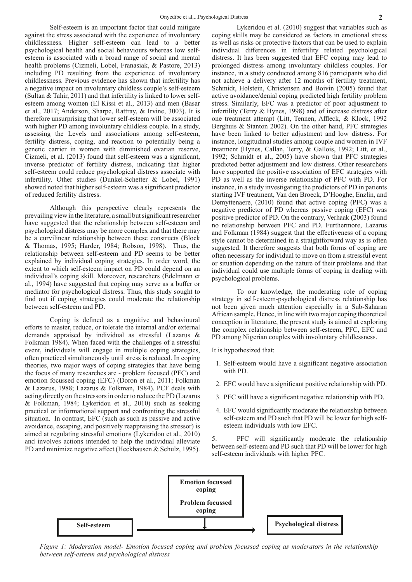Self-esteem is an important factor that could mitigate against the stress associated with the experience of involuntary childlessness. Higher self-esteem can lead to a better psychological health and social behaviours whereas low selfesteem is associated with a broad range of social and mental health problems (Cizmeli, Lobel, Franasiak, & Pastore, 2013) including PD resulting from the experience of involuntary childlessness. Previous evidence has shown that infertility has a negative impact on involuntary childless couple's self-esteem (Sultan & Tahir, 2011) and that infertility is linked to lower selfesteem among women (El Kissi et al., 2013) and men (Basar et al., 2017; Anderson, Sharpe, Rattray, & Irvine, 3003). It is therefore unsurprising that lower self-esteem will be associated with higher PD among involuntary childless couple. In a study, assessing the Levels and associations among self-esteem, fertility distress, coping, and reaction to potentially being a genetic carrier in women with diminished ovarian reserve, Cizmeli, et al. (2013) found that self-esteem was a significant, inverse predictor of fertility distress, indicating that higher self-esteem could reduce psychological distress associate with infertility. Other studies (Dunkel-Schetter & Lobel, 1991) showed noted that higher self-esteem was a significant predictor of reduced fertility distress.

Although this perspective clearly represents the prevailing view in the literature, a small but significant researcher have suggested that the relationship between self-esteem and psychological distress may be more complex and that there may be a curvilinear relationship between these constructs (Block & Thomas, 1995; Harder, 1984; Robson, 1998). Thus, the relationship between self-esteem and PD seems to be better explained by individual coping strategies. In order word, the extent to which self-esteem impact on PD could depend on an individual's coping skill. Moreover, researchers (Edelmann et al., 1994) have suggested that coping may serve as a buffer or mediator for psychological distress. Thus, this study sought to find out if coping strategies could moderate the relationship between self-esteem and PD.

Coping is defined as a cognitive and behavioural efforts to master, reduce, or tolerate the internal and/or external demands appraised by individual as stressful (Lazarus & Folkman 1984). When faced with the challenges of a stressful event, individuals will engage in multiple coping strategies, often practiced simultaneously until stress is reduced. In coping theories, two major ways of coping strategies that have being the focus of many researches are - problem focused (PFC) and emotion focussed coping (EFC) (Doron et al., 2011; Folkman & Lazarus, 1988; Lazarus & Folkman, 1984). PCF deals with acting directly on the stressors in order to reduce the PD (Lazarus & Folkman, 1984; Lykeridou et al., 2010) such as seeking practical or informational support and confronting the stressful situation. In contrast, EFC (such as such as passive and active avoidance, escaping, and positively reappraising the stressor) is aimed at regulating stressful emotions (Lykeridou et al., 2010) and involves actions intended to help the individual alleviate PD and minimize negative affect (Heckhausen & Schulz, 1995).

Lykeridou et al. (2010) suggest that variables such as coping skills may be considered as factors in emotional stress as well as risks or protective factors that can be used to explain individual differences in infertility related psychological distress. It has been suggested that EFC coping may lead to prolonged distress among involuntary childless couples. For instance, in a study conducted among 816 participants who did not achieve a delivery after 12 months of fertility treatment, Schmidt, Holstein, Christensen and Boivin (2005) found that active avoidance/denial coping predicted high fertility problem stress. Similarly, EFC was a predictor of poor adjustment to infertility (Terry & Hynes, 1998) and of increase distress after one treatment attempt (Litt, Tennen, Affleck, & Klock, 1992 Berghuis & Stanton 2002). On the other hand, PFC strategies have been linked to better adjustment and low distress. For instance, longitudinal studies among couple and women in IVF treatment (Hynes, Callan, Terry, & Gallois, 1992; Litt, et al., 1992; Schmidt et al., 2005) have shown that PFC strategies predicted better adjustment and low distress. Other researchers have supported the positive association of EFC strategies with PD as well as the inverse relationship of PFC with PD. For instance, in a study investigating the predictors of PD in patients starting IVF treatment, Van den Broeck, D'Hooghe, Enzlin, and Demyttenaere, (2010) found that active coping (PFC) was a negative predictor of PD whereas passive coping (EFC) was positive predictor of PD. On the contrary, Verhaak (2003) found no relationship between PFC and PD. Furthermore, Lazarus and Folkman (1984) suggest that the effectiveness of a coping style cannot be determined in a straightforward way as is often suggested. It therefore suggests that both forms of coping are often necessary for individual to move on from a stressful event or situation depending on the nature of their problems and that individual could use multiple forms of coping in dealing with psychological problems.

To our knowledge, the moderating role of coping strategy in self-esteem-psychological distress relationship has not been given much attention especially in a Sub-Saharan African sample. Hence, in line with two major coping theoretical conception in literature, the present study is aimed at exploring the complex relationship between self-esteem, PFC, EFC and PD among Nigerian couples with involuntary childlessness.

It is hypothesized that:

- 1. Self-esteem would have a significant negative association with PD.
- 2. EFC would have a significant positive relationship with PD.
- 3. PFC will have a significant negative relationship with PD.
- 4. EFC would significantly moderate the relationship between self-esteem and PD such that PD will be lower for high selfesteem individuals with low EFC.

5. PFC will significantly moderate the relationship between self-esteem and PD such that PD will be lower for high self-esteem individuals with higher PFC.



*Figure 1: Moderation model- Emotion focused coping and problem focussed coping as moderators in the relationship between self-esteem and psychological distress*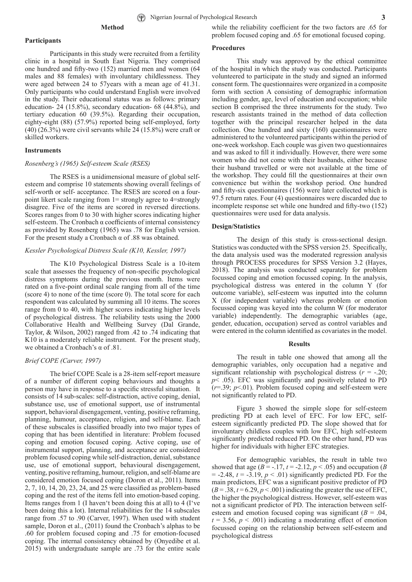# **Method**

Participants in this study were recruited from a fertility clinic in a hospital in South East Nigeria. They comprised one hundred and fifty-two (152) married men and women (64 males and 88 females) with involuntary childlessness. They were aged between 24 to 57years with a mean age of 41.31. Only participants who could understand English were involved in the study. Their educational status was as follows: primary education- 24 (15.8%), secondary education- 68 (44.8%), and tertiary education 60 (39.5%). Regarding their occupation, eighty-eight (88) (57.9%) reported being self-employed, forty (40) (26.3%) were civil servants while 24 (15.8%) were craft or skilled workers.

#### **Instruments**

#### *Rosenberg's (1965) Self-esteem Scale (RSES)*

The RSES is a unidimensional measure of global selfesteem and comprise 10 statements showing overall feelings of self-worth or self- acceptance. The RSES are scored on a fourpoint likert scale ranging from 1= strongly agree to 4=strongly disagree. Five of the items are scored in reversed directions. Scores ranges from 0 to 30 with higher scores indicating higher self-esteem. The Cronbach α coefficients of internal consistency as provided by Rosenberg (1965) was .78 for English version. For the present study a Cronbach  $\alpha$  of .88 was obtained.

### *Kessler Psychological Distress Scale (K10, Kessler, 1997)*

The K10 Psychological Distress Scale is a 10-item scale that assesses the frequency of non-specific psychological distress symptoms during the previous month. Items were rated on a five-point ordinal scale ranging from all of the time (score 4) to none of the time (score 0). The total score for each respondent was calculated by summing all 10 items. The scores range from 0 to 40, with higher scores indicating higher levels of psychological distress. The reliability tests using the 2000 Collaborative Health and Wellbeing Survey (Dal Grande, Taylor, & Wilson, 2002) ranged from .42 to .74 indicating that K10 is a moderately reliable instrument. For the present study, we obtained a Cronbach's α of .81.

#### *Brief COPE (Carver, 1997)*

The brief COPE Scale is a 28-item self-report measure of a number of different coping behaviours and thoughts a person may have in response to a specific stressful situation. It consists of 14 sub-scales: self-distraction, active coping, denial, substance use, use of emotional support, use of instrumental support, behavioral disengagement, venting, positive reframing, planning, humour, acceptance, religion, and self-blame. Each of these subscales is classified broadly into two major types of coping that has been identified in literature: Problem focused coping and emotion focused coping. Active coping, use of instrumental support, planning, and acceptance are considered problem focused coping while self-distraction, denial, substance use, use of emotional support, behavioural disengagement, venting, positive reframing, humour, religion, and self-blame are considered emotion focused coping (Doron et al., 2011). Items 2, 7, 10, 14, 20, 23, 24, and 25 were classified as problem-based coping and the rest of the items fell into emotion-based coping. Items ranges from 1 (I haven't been doing this at all) to 4 (I've been doing this a lot). Internal reliabilities for the 14 subscales range from .57 to .90 (Carver, 1997). When used with student sample, Doron et al., (2011) found the Cronbach's alphas to be .60 for problem focused coping and .75 for emotion-focused coping. The internal consistency obtained by (Onyedibe et al. 2015) with undergraduate sample are .73 for the entire scale

while the reliability coefficient for the two factors are .65 for problem focused coping and .65 for emotional focused coping.

#### **Procedures**

This study was approved by the ethical committee of the hospital in which the study was conducted. Participants volunteered to participate in the study and signed an informed consent form. The questionnaires were organized in a composite form with section A consisting of demographic information including gender, age, level of education and occupation; while section B comprised the three instruments for the study. Two research assistants trained in the method of data collection together with the principal researcher helped in the data collection. One hundred and sixty (160) questionnaires were administered to the volunteered participants within the period of one-week workshop. Each couple was given two questionnaires and was asked to fill it individually. However, there were some women who did not come with their husbands, either because their husband travelled or were not available at the time of the workshop. They could fill the questionnaires at their own convenience but within the workshop period. One hundred and fifty-six questionnaires (156) were later collected which is 97.5 return rates. Four (4) questionnaires were discarded due to incomplete response set while one hundred and fifty-two (152) questionnaires were used for data analysis.

#### **Design/Statistics**

The design of this study is cross-sectional design. Statistics was conducted with the SPSS version 25. Specifically, the data analysis used was the moderated regression analysis through PROCESS procedures for SPSS Version 3.2 (Hayes, 2018). The analysis was conducted separately for problem focussed coping and emotion focussed coping. In the analysis, psychological distress was entered in the column Y (for outcome variable), self-esteem was inputted into the column X (for independent variable) whereas problem or emotion focussed coping was keyed into the column W (for moderator variable) independently. The demographic variables (age, gender, education, occupation) served as control variables and were entered in the column identified as covariates in the model.

## **Results**

The result in table one showed that among all the demographic variables, only occupation had a negative and significant relationship with psychological distress  $(r = -.20;$ *p*< .05). EFC was significantly and positively related to PD  $(r=0.39; p<0.01)$ . Problem focused coping and self-esteem were not significantly related to PD.

Figure 3 showed the simple slope for self-esteem predicting PD at each level of EFC. For low EFC, selfesteem significantly predicted PD. The slope showed that for involuntary childless couples with low EFC, high self-esteem significantly predicted reduced PD. On the other hand, PD was higher for individuals with higher EFC strategies.

For demographic variables, the result in table two showed that age ( $B = -.17$ ,  $t = -2.12$ ,  $p < .05$ ) and occupation (*B*)  $= -2.48$ ,  $t = -3.19$ ,  $p < .01$ ) significantly predicted PD. For the main predictors, EFC was a significant positive predictor of PD  $(B = .38, t = 6.29, p < .001)$  indicating the greater the use of EFC, the higher the psychological distress. However, self-esteem was not a significant predictor of PD. The interaction between selfesteem and emotion focused coping was significant (*B* = .04,  $t = 3.56$ ,  $p < .001$ ) indicating a moderating effect of emotion focussed coping on the relationship between self-esteem and psychological distress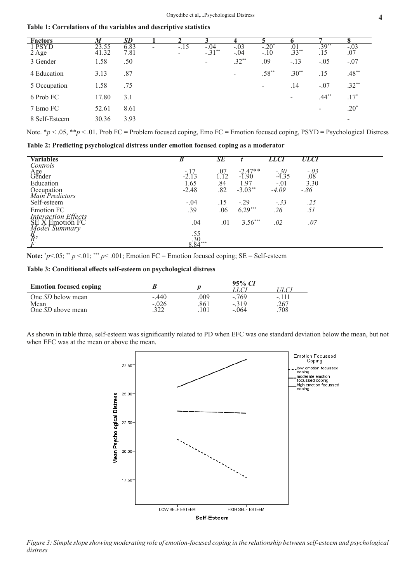**Table 1: Correlations of the variables and descriptive statistics** 

| $\overline{\textbf{F}}$ actors | M              | <b>SD</b>    |   |              |                          |                          |                          |                  |                 |                   |
|--------------------------------|----------------|--------------|---|--------------|--------------------------|--------------------------|--------------------------|------------------|-----------------|-------------------|
| 1 PSYD<br>2 Age                | 23.55<br>41.32 | 6.83<br>7.81 | - | $-.15$<br>Ξ. | $-.04$<br>$-31^{**}$     | $-.03$<br>$-.04$         | $-.20^{\circ}$<br>$-.10$ | $.01$<br>$.33**$ | $.39***$<br>.15 | $-0.03$<br>$0.07$ |
| 3 Gender                       | 1.58           | .50          |   |              | $\overline{\phantom{a}}$ | $.32***$                 | .09                      | $-.13$           | $-.05$          | $-.07$            |
| 4 Education                    | 3.13           | .87          |   |              |                          | $\overline{\phantom{a}}$ | $.58***$                 | $.30**$          | .15             | $.48***$          |
| 5 Occupation                   | 1.58           | .75          |   |              |                          |                          | $\overline{\phantom{a}}$ | .14              | $-.07$          | $.32**$           |
| 6 Prob FC                      | 17.80          | 3.1          |   |              |                          |                          |                          |                  | $.44***$        | $.17*$            |
| 7 Emo FC                       | 52.61          | 8.61         |   |              |                          |                          |                          |                  | -               | $.20*$            |
| 8 Self-Esteem                  | 30.36          | 3.93         |   |              |                          |                          |                          |                  |                 | -                 |

Note. \**p* < .05, \*\**p* < .01. Prob FC = Problem focused coping, Emo FC = Emotion focused coping, PSYD = Psychological Distress

**Table 2: Predicting psychological distress under emotion focused coping as a moderator**

| <b>Variables</b>                              | B                           | $\overline{SE}$ |           | LLCI             | ULCI           |  |
|-----------------------------------------------|-----------------------------|-----------------|-----------|------------------|----------------|--|
| Controls                                      |                             |                 |           |                  |                |  |
| Age<br>Gender                                 | $-2.17$                     | .07             | $-2.47**$ | $-30$<br>$-4.35$ | $-03 \over 08$ |  |
|                                               |                             | 1.12            | $-1.90$   |                  |                |  |
| Education                                     | 1.65                        | .84             | 1.97      | $-.01$           | 3.30           |  |
| Occupation<br>Main Predictors                 | $-2.48$                     | .82             | $-3.03**$ | $-4.09$          | $-86$          |  |
|                                               |                             |                 |           |                  |                |  |
| Self-esteem                                   | $-.04$                      | .15             | $-.29$    | $-.33$           | .25            |  |
| <b>Emotion FC</b>                             | .39                         | .06             | $6.29***$ | .26              | .51            |  |
|                                               |                             |                 |           |                  |                |  |
| <i>Interaction Effects</i><br>SE X Emotion FC | .04                         | .01             | $3.56***$ | .02              | .07            |  |
| Model Summary                                 |                             |                 |           |                  |                |  |
|                                               |                             |                 |           |                  |                |  |
| $\overline{R}_{R^2}$                          | $.55$<br>$.30$<br>$8.84***$ |                 |           |                  |                |  |
|                                               |                             |                 |           |                  |                |  |

**Note:**  $\gamma p \le 0.05$ ; \*\*  $p \le 0.01$ ; \*\*\*  $p \le 0.001$ ; Emotion FC = Emotion focused coping; SE = Self-esteem

**Table 3: Conditional effects self-esteem on psychological distress**

| <b>Emotion focused coping</b> |         |      | 95% CI  |        |
|-------------------------------|---------|------|---------|--------|
|                               |         |      |         |        |
| One SD below mean             | $-.440$ | .009 | $-.769$ | -. 111 |
| Mean                          | $-.026$ | .861 | $-.319$ | .267   |
| One SD above mean             | າາາ     |      | $-.064$ | 708    |

As shown in table three, self-esteem was significantly related to PD when EFC was one standard deviation below the mean, but not when EFC was at the mean or above the mean.



*Figure 3: Simple slope showing moderating role of emotion-focused coping in the relationship between self-esteem and psychological distress*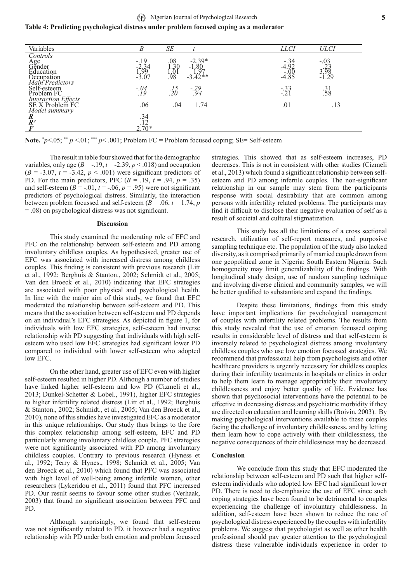# **Table 4: Predicting psychological distress under problem focused coping as a moderator**

| Variables                                                          |                                       | SE                                                        |                                            | <i>LLCI</i>                   | <i>ULCI</i>                         |
|--------------------------------------------------------------------|---------------------------------------|-----------------------------------------------------------|--------------------------------------------|-------------------------------|-------------------------------------|
| Controls<br>Age<br>Gender<br>Education                             |                                       |                                                           |                                            |                               |                                     |
|                                                                    | $-19$<br>$-2.34$<br>$1.99$<br>$-3.07$ | $\begin{array}{c} .08 \\ 1.30 \\ 1.01 \\ .98 \end{array}$ | $-2.39*$<br>$-1.80$<br>$1.97$<br>$-3.42**$ | $-4.92$<br>$-0.00$<br>$-4.85$ | $-03$<br>$-23$<br>$3.98$<br>$-1.29$ |
|                                                                    |                                       |                                                           |                                            |                               |                                     |
| $\frac{1}{\text{Maximum Predictors}}$<br>Self-esteem<br>Problem FC |                                       |                                                           |                                            |                               |                                     |
|                                                                    |                                       |                                                           |                                            |                               |                                     |
|                                                                    | $-04$<br>$19$                         | $\frac{.15}{.20}$                                         | $-29.94$                                   | $-33$<br>$-21$                | $\frac{31}{58}$                     |
| Interaction Effects<br>SE X Problem FC                             |                                       |                                                           |                                            |                               |                                     |
| Model summary                                                      | .06                                   | .04                                                       | 1.74                                       | .01                           | .13                                 |
| R                                                                  |                                       |                                                           |                                            |                               |                                     |
| $R^2$                                                              |                                       |                                                           |                                            |                               |                                     |
|                                                                    | $.34$<br>$.12$<br>$2.70*$             |                                                           |                                            |                               |                                     |

**Note.** \* *p*<.05; \*\* *p* <.01; \*\*\* *p*< .001; Problem FC = Problem focused coping; SE= Self-esteem

The result in table four showed that for the demographic variables, only age  $(B = -19, t = -2.39, p < .018)$  and occupation  $(B = -3.07, t = -3.42, p < .001)$  were significant predictors of PD. For the main predictors, PFC  $(B = .19, t = .94, p = .35)$ and self-esteem  $(B = -0.01, t = -0.06, p = 0.95)$  were not significant predictors of psychological distress. Similarly, the interaction between problem focussed and self-esteem  $(B = .06, t = 1.74, p$ = .08) on psychological distress was not significant.

#### **Discussion**

This study examined the moderating role of EFC and PFC on the relationship between self-esteem and PD among involuntary childless couples. As hypothesised, greater use of EFC was associated with increased distress among childless couples. This finding is consistent with previous research (Litt et al., 1992; Berghuis & Stanton., 2002; Schmidt et al., 2005; Van den Broeck et al., 2010) indicating that EFC strategies are associated with poor physical and psychological health. In line with the major aim of this study, we found that EFC moderated the relationship between self-esteem and PD. This means that the association between self-esteem and PD depends on an individual's EFC strategies. As depicted in figure 1, for individuals with low EFC strategies, self-esteem had inverse relationship with PD suggesting that individuals with high selfesteem who used low EFC strategies had significant lower PD compared to individual with lower self-esteem who adopted low EFC.

On the other hand, greater use of EFC even with higher self-esteem resulted in higher PD. Although a number of studies have linked higher self-esteem and low PD (Cizmeli et al., 2013; Dunkel-Schetter & Lobel., 1991), higher EFC strategies to higher infertility related distress (Litt et al., 1992; Berghuis & Stanton., 2002; Schmidt., et al., 2005; Van den Broeck et al., 2010), none of this studies have investigated EFC as a moderator in this unique relationships. Our study thus brings to the fore this complex relationship among self-esteem, EFC and PD particularly among involuntary childless couple. PFC strategies were not significantly associated with PD among involuntary childless couples. Contrary to previous research (Hyness et al., 1992; Terry & Hynes., 1998; Schmidt et al., 2005; Van den Broeck et al., 2010) which found that PFC was associated with high level of well-being among infertile women, other researchers (Lykeridou et al., 2011) found that PFC increased PD. Our result seems to favour some other studies (Verhaak, 2003) that found no significant association between PFC and PD.

Although surprisingly, we found that self-esteem was not significantly related to PD, it however had a negative relationship with PD under both emotion and problem focussed

strategies. This showed that as self-esteem increases, PD decreases. This is not in consistent with other studies (Cizmeli et al., 2013) which found a significant relationship between selfesteem and PD among infertile couples. The non-significant relationship in our sample may stem from the participants response with social desirability that are common among persons with infertility related problems. The participants may find it difficult to disclose their negative evaluation of self as a result of societal and cultural stigmatization.

This study has all the limitations of a cross sectional research, utilization of self-report measures, and purposive sampling technique etc. The population of the study also lacked diversity, as it comprised primarily of married couple drawn from one geopolitical zone in Nigeria: South Eastern Nigeria. Such homogeneity may limit generalizability of the findings. With longitudinal study design, use of random sampling technique and involving diverse clinical and community samples, we will be better qualified to substantiate and expand the findings.

Despite these limitations, findings from this study have important implications for psychological management of couples with infertility related problems. The results from this study revealed that the use of emotion focussed coping results in considerable level of distress and that self-esteem is inversely related to psychological distress among involuntary childless couples who use low emotion focussed strategies. We recommend that professional help from psychologists and other healthcare providers is urgently necessary for childless couples during their infertility treatments in hospitals or clinics in order to help them learn to manage appropriately their involuntary childlessness and enjoy better quality of life. Evidence has shown that psychosocial interventions have the potential to be effective in decreasing distress and psychiatric morbidity if they are directed on education and learning skills (Boivin, 2003). By making psychological interventions available to these couples facing the challenge of involuntary childlessness, and by letting them learn how to cope actively with their childlessness, the negative consequences of their childlessness may be decreased.

#### **Conclusion**

We conclude from this study that EFC moderated the relationship between self-esteem and PD such that higher selfesteem individuals who adopted low EFC had significant lower PD. There is need to de-emphasize the use of EFC since such coping strategies have been found to be detrimental to couples experiencing the challenge of involuntary childlessness. In addition, self-esteem have been shown to reduce the rate of psychological distress experienced by the couples with infertility problems. We suggest that psychologist as well as other health professional should pay greater attention to the psychological distress these vulnerable individuals experience in order to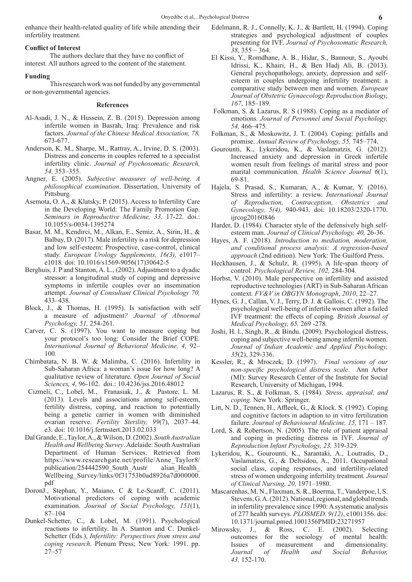enhance their health-related quality of life while attending their infertility treatment.

### **Conflict of Interest**

The authors declare that they have no conflict of interest. All authors agreed to the content of the statement.

#### **Funding**

This research work was not funded by any governmental or non-governmental agencies.

#### **References**

- Al-Asadi, J. N., & Hussein, Z. B. (2015). Depression among infertile women in Basrah, Iraq: Prevalence and risk factors. *Journal of the Chinese Medical Association, 78,*  673-677.
- Anderson, K. M., Sharpe, M., Rattray, A., Irvine, D. S. (2003). Distress and concerns in couples referred to a specialist infertility clinic. *Journal of Psychosomatic Research, 54,* 353–355.
- Angner, E. (2005). *Subjective measures of well-being. A philosophical examination*. Dissertation, University of Pittsburg.
- Asemota, O. A., & Klatsky, P. (2015). Access to Infertility Care in the Developing World: The Family Promotion Gap. *Seminars in Reproductive Medicine, 33,* 17-22. doi.: 10.1055/s-0034-1395274
- Basar, M. M., Kendirci, M., Alkan, E., Semiz, A., Sirin, H., & Balbay, D. (2017). Male infertility is a risk for depression and low self-esteem: Prospective, case-control, clinical study. *European Urology Supplements, 16(3),* e1017– e1018*.* doi: 10.1016/s1569-9056(17)30642-5
- Berghuis, J. P and Stanton, A. L., (2002). Adjustment to a dyadic stressor: a longitudinal study of coping and depressive symptoms in infertile couples over an insemination attempt. *Journal of Consultant Clinical Psychology 70,*  433–438*.*
- Block, J., & Thomas, H. (1995). Is satisfaction with self a measure of adjustment*? Journal of Abnormal Psychology, 51,* 254-261*.*
- Carver, C. S. (1997). You want to measure coping but your protocol's too long: Consider the Brief COPE*. International Journal of Behavioral Medicine, 4,* 92– 100*.*
- Chimbatata, N. B. W. & Malimba, C. (2016). Infertility in Sub-Saharan Africa: a woman's issue for how long? A qualitative review of literature. *Open Journal of Social Sciences, 4,* 96-102.doi.: 10.4236/jss.2016.48012
- Cizmeli, C., Lobel, M., Franasiak, J., & Pastore, L. M. (2013). Levels and associations among self-esteem, fertility distress, coping, and reaction to potentially being a genetic carrier in women with diminished ovarian reserve. *Fertility Sterility, 99*(7), 2037–44. e3. doi: 10.1016/j.fertnstert.2013.02.033
- Dal Grande, E., Taylor, A., & Wilson, D. (2002). *South Australian Health and Wellbeing Survey*. Adelaide: South Australian Department of Human Services. Retrieved from https://www.researchgate.net/profile/Anne\_Taylor8/ publication/254442590\_South\_Austr alian\_Health\_ Wellbeing\_Survey/links/0f31753b0ad8926a7d000000. pdf
- DoronJ., Stephan, Y., Maiano, C & Le-Scanff, C. (2011). Motivational predictors of coping with academic examination. *Journal of Social Psychology, 151*(1), 87–104
- Dunkel-Schetter, C., & Lobel, M. (1991). Psychological reactions to infertility. In A. Stanton and C. Dunkel-Schetter (Eds.), *Infertility: Perspectives from stress and coping research*. Plenum Press; New York: 1991. pp. 27–57
- Edelmann, R. J., Connolly, K. J., & Bartlett, H. (1994). Coping strategies and psychological adjustment of couples presenting for IVF. *Journal of Psychosomatic Research, 38*, 355 – 364.
- El Kissi, Y., Romdhane, A. B., Hidar, S., Bannour, S., Ayoubi Idrissi, K., Khairi, H., & Ben Hadj Ali, B. (2013). General psychopathology, anxiety, depression and selfesteem in couples undergoing infertility treatment: a comparative study between men and women. *European Journal of Obstetric Gynaecology Reproduction Biology, 167*, 185–189.
- Folkman, S. & Lazarus, R. S (1988). Coping as a mediator of emotions*. Journal of Personnel and Social Psychology, 54,* 466–475*.*
- Folkman, S., & Moskowitz, J. T. (2004). Coping: pitfalls and promise. *Annual Review of Psychology, 55,* 745–774.
- Gourounti, K., Lykeridou, K., & Vaslamatzis, G. (2012). Increased anxiety and depression in Greek infertile women result from feelings of marital stress and poor marital communication. *Health Science Journal 6*(1), 69-81.
- Hajela, S. Prasad, S., Kumaran, A., & Kumar, Y. (2016). Stress and infertility: a review. *International Journal of Reproduction, Contraception, Obstetrics and Gynecology, 5(4),* 940-943. doi: 10.18203/2320-1770. ijrcog20160846
- Harder, D. (1984). Character style of the defensively high selfesteem man. *Journal of Clinical Psychology, 40,* 26-36.
- Hayes, A. F. (2018). *Introduction to mediation, moderation, and conditional process analysis: A regression-based approach* (2nd edition). New York: The Guilford Press.
- Heckhausen, J., & Schulz, R. (1995). A life-span theory of control*. Psychological Review, 102,* 284-304.
- Horbst, V. (2010). Male perspective on infertility and assisted reproductive technologies (ART) in Sub-Saharan African context. *FV&V in OBGYN Monograph*, *2010*, 22–27*.*
- Hynes, G. J., Callan, V. J., Terry, D. J. & Gallois, C. (1992). The psychological well-being of infertile women after a failed IVF treatment: the effects of coping*. British Journal of Medical Psychology, 65,* 269 -278*.*
- Joshi, H. l., Singh, R., & Bindu. (2009). Psychological distress, coping and subjective well-being among infertile women. *Journal of Indian Academic and Applied Psychology, 35*(2), 329-336.
- Kessler, R., & Mroczek, D. (1997). *Final versions of our non-specific psychological distress scale*. Ann Arbor (MI): Survey Research Center of the Institute for Social Research, University of Michigan, 1994.
- Lazarus, R. S., & Folkman, S. (1984). *Stress, appraisal, and coping.* New York: Springer.
- Litt, N. D., Tennen, H., Affleek, G., & Klock. S. (1992). Coping and cognitive factors in adaption to in vitro fertilization failure. *Journal of Behavioural Medicine, 15,* 171 – 187*.*
- Lord, S. & Robertson, N. (2005). The role of patient appraisal and coping in predicting distress in IVF. *Journal of Reproduction Infant Psychology, 23,* 319-329.
- Lykeridou, K., Gourounti, K., Sarantaki, A., Loutradis, D., Vaslamatzis, G., & Deltsidou, A., 2011. Occupational social class, coping responses, and infertility-related stress of women undergoing infertility treatment*. Journal of Clinical Nursing, 20,* 1971–1980.
- Mascarenhas, M. N., Flaxman, S. R., Boerma, T., Vanderpoe, l, S. Stevens, G. A. (2012). National, regional, and global trends in infertility prevalence since 1990: A systematic analysis of 277 health surveys. *PLOSMED. 9(12)*, e1001356. doi: 10.1371/journal.pmed.1001356PMID:23271957
- Mirowsky, J., & Ross, C. E. (2002). Selecting outcomes for the sociology of mental health: Issues of measurement and dimensionality. *Journal of Health and Social Behavior, 43,* 152-170.